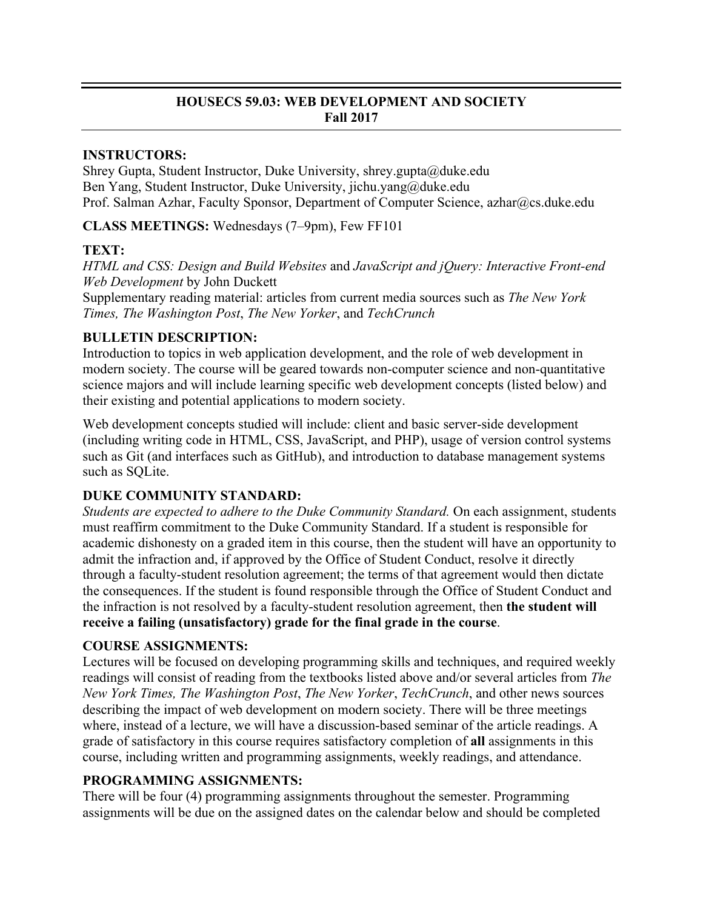# **HOUSECS 59.03: WEB DEVELOPMENT AND SOCIETY Fall 2017**

### **INSTRUCTORS:**

Shrey Gupta, Student Instructor, Duke University, shrey.gupta@duke.edu Ben Yang, Student Instructor, Duke University, jichu.yang@duke.edu Prof. Salman Azhar, Faculty Sponsor, Department of Computer Science, azhar@cs.duke.edu

**CLASS MEETINGS:** Wednesdays (7–9pm), Few FF101

### **TEXT:**

*HTML and CSS: Design and Build Websites* and *JavaScript and jQuery: Interactive Front-end Web Development* by John Duckett

Supplementary reading material: articles from current media sources such as *The New York Times, The Washington Post*, *The New Yorker*, and *TechCrunch*

### **BULLETIN DESCRIPTION:**

Introduction to topics in web application development, and the role of web development in modern society. The course will be geared towards non-computer science and non-quantitative science majors and will include learning specific web development concepts (listed below) and their existing and potential applications to modern society.

Web development concepts studied will include: client and basic server-side development (including writing code in HTML, CSS, JavaScript, and PHP), usage of version control systems such as Git (and interfaces such as GitHub), and introduction to database management systems such as SOLite.

# **DUKE COMMUNITY STANDARD:**

*Students are expected to adhere to the Duke Community Standard.* On each assignment, students must reaffirm commitment to the Duke Community Standard. If a student is responsible for academic dishonesty on a graded item in this course, then the student will have an opportunity to admit the infraction and, if approved by the Office of Student Conduct, resolve it directly through a faculty-student resolution agreement; the terms of that agreement would then dictate the consequences. If the student is found responsible through the Office of Student Conduct and the infraction is not resolved by a faculty-student resolution agreement, then **the student will receive a failing (unsatisfactory) grade for the final grade in the course**.

# **COURSE ASSIGNMENTS:**

Lectures will be focused on developing programming skills and techniques, and required weekly readings will consist of reading from the textbooks listed above and/or several articles from *The New York Times, The Washington Post*, *The New Yorker*, *TechCrunch*, and other news sources describing the impact of web development on modern society. There will be three meetings where, instead of a lecture, we will have a discussion-based seminar of the article readings. A grade of satisfactory in this course requires satisfactory completion of **all** assignments in this course, including written and programming assignments, weekly readings, and attendance.

# **PROGRAMMING ASSIGNMENTS:**

There will be four (4) programming assignments throughout the semester. Programming assignments will be due on the assigned dates on the calendar below and should be completed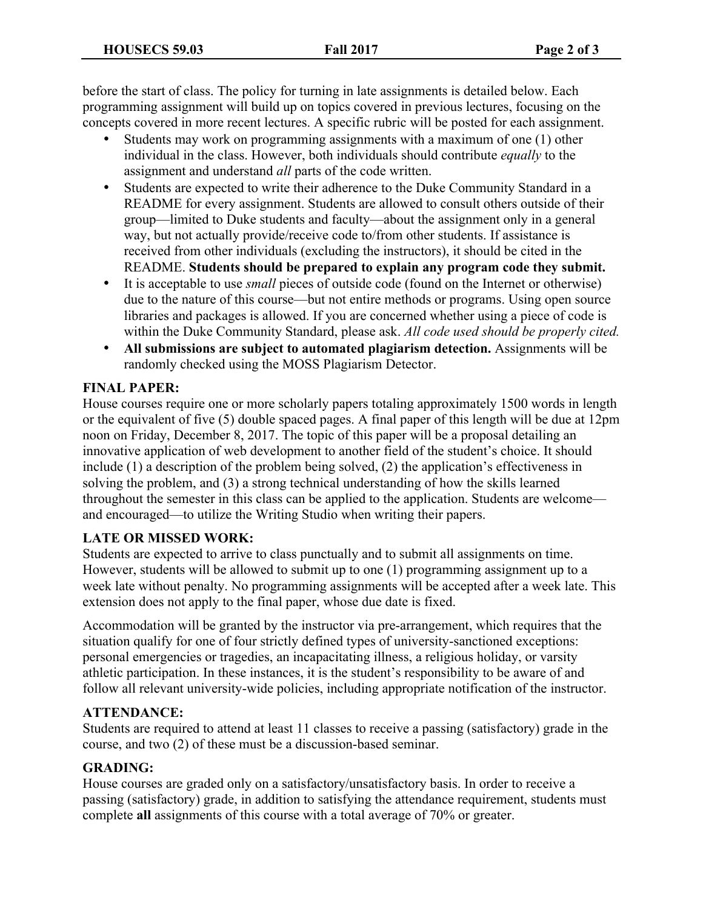before the start of class. The policy for turning in late assignments is detailed below. Each programming assignment will build up on topics covered in previous lectures, focusing on the concepts covered in more recent lectures. A specific rubric will be posted for each assignment.

- Students may work on programming assignments with a maximum of one (1) other individual in the class. However, both individuals should contribute *equally* to the assignment and understand *all* parts of the code written.
- Students are expected to write their adherence to the Duke Community Standard in a README for every assignment. Students are allowed to consult others outside of their group—limited to Duke students and faculty—about the assignment only in a general way, but not actually provide/receive code to/from other students. If assistance is received from other individuals (excluding the instructors), it should be cited in the README. **Students should be prepared to explain any program code they submit.**
- It is acceptable to use *small* pieces of outside code (found on the Internet or otherwise) due to the nature of this course—but not entire methods or programs. Using open source libraries and packages is allowed. If you are concerned whether using a piece of code is within the Duke Community Standard, please ask. *All code used should be properly cited.*
- **All submissions are subject to automated plagiarism detection.** Assignments will be randomly checked using the MOSS Plagiarism Detector.

### **FINAL PAPER:**

House courses require one or more scholarly papers totaling approximately 1500 words in length or the equivalent of five (5) double spaced pages. A final paper of this length will be due at 12pm noon on Friday, December 8, 2017. The topic of this paper will be a proposal detailing an innovative application of web development to another field of the student's choice. It should include (1) a description of the problem being solved, (2) the application's effectiveness in solving the problem, and (3) a strong technical understanding of how the skills learned throughout the semester in this class can be applied to the application. Students are welcome and encouraged—to utilize the Writing Studio when writing their papers.

### **LATE OR MISSED WORK:**

Students are expected to arrive to class punctually and to submit all assignments on time. However, students will be allowed to submit up to one (1) programming assignment up to a week late without penalty. No programming assignments will be accepted after a week late. This extension does not apply to the final paper, whose due date is fixed.

Accommodation will be granted by the instructor via pre-arrangement, which requires that the situation qualify for one of four strictly defined types of university-sanctioned exceptions: personal emergencies or tragedies, an incapacitating illness, a religious holiday, or varsity athletic participation. In these instances, it is the student's responsibility to be aware of and follow all relevant university-wide policies, including appropriate notification of the instructor.

### **ATTENDANCE:**

Students are required to attend at least 11 classes to receive a passing (satisfactory) grade in the course, and two (2) of these must be a discussion-based seminar.

### **GRADING:**

House courses are graded only on a satisfactory/unsatisfactory basis. In order to receive a passing (satisfactory) grade, in addition to satisfying the attendance requirement, students must complete **all** assignments of this course with a total average of 70% or greater.